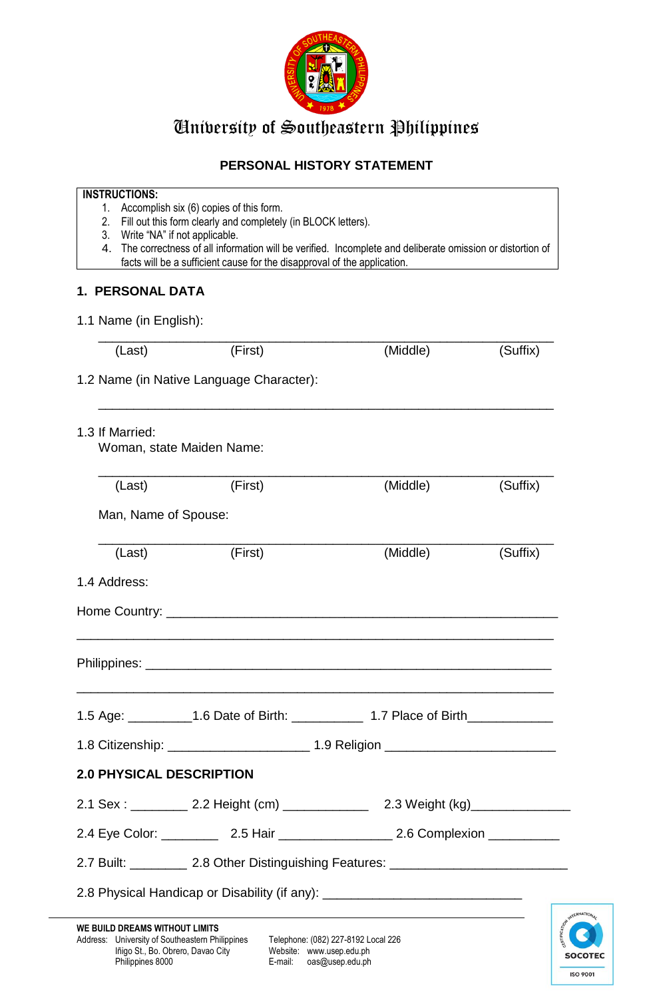

## University of Southeastern Philippines

### **PERSONAL HISTORY STATEMENT**

#### **INSTRUCTIONS:**

- 1. Accomplish six (6) copies of this form.
- 2. Fill out this form clearly and completely (in BLOCK letters).
- 3. Write "NA" if not applicable.
- 4. The correctness of all information will be verified. Incomplete and deliberate omission or distortion of facts will be a sufficient cause for the disapproval of the application.

#### **1. PERSONAL DATA**

1.1 Name (in English):

| (Last)                                   | (First)                                                                                                                                                                                                     | (Middle)                                                                                                         | (Suffix)        |  |  |
|------------------------------------------|-------------------------------------------------------------------------------------------------------------------------------------------------------------------------------------------------------------|------------------------------------------------------------------------------------------------------------------|-----------------|--|--|
| 1.2 Name (in Native Language Character): |                                                                                                                                                                                                             |                                                                                                                  |                 |  |  |
| 1.3 If Married:                          | Woman, state Maiden Name:                                                                                                                                                                                   |                                                                                                                  |                 |  |  |
| (Last)                                   | (First)                                                                                                                                                                                                     | (Middle)                                                                                                         | (Suffix)        |  |  |
| Man, Name of Spouse:                     |                                                                                                                                                                                                             |                                                                                                                  |                 |  |  |
| (Last)                                   | (First)                                                                                                                                                                                                     | (Middle)                                                                                                         | (Suffix)        |  |  |
| 1.4 Address:                             |                                                                                                                                                                                                             |                                                                                                                  |                 |  |  |
|                                          |                                                                                                                                                                                                             |                                                                                                                  |                 |  |  |
|                                          |                                                                                                                                                                                                             |                                                                                                                  |                 |  |  |
|                                          | <u> 1999 - Johann Harry Barn, mars and deutscher Stadt and deutscher Stadt and deutscher Stadt and deutscher Stadt</u><br>1.5 Age: ___________1.6 Date of Birth: ______________ 1.7 Place of Birth_________ |                                                                                                                  |                 |  |  |
|                                          | 1.8 Citizenship: _________________________ 1.9 Religion ________________________                                                                                                                            |                                                                                                                  |                 |  |  |
| <b>2.0 PHYSICAL DESCRIPTION</b>          |                                                                                                                                                                                                             |                                                                                                                  |                 |  |  |
|                                          | 2.1 Sex : __________ 2.2 Height (cm)                                                                                                                                                                        |                                                                                                                  | 2.3 Weight (kg) |  |  |
|                                          |                                                                                                                                                                                                             |                                                                                                                  |                 |  |  |
|                                          | 2.7 Built: ____________ 2.8 Other Distinguishing Features: _____________________                                                                                                                            |                                                                                                                  |                 |  |  |
|                                          | 2.8 Physical Handicap or Disability (if any): __________________________________                                                                                                                            |                                                                                                                  |                 |  |  |
| WE BUILD DREAMS WITHOUT LIMITS           |                                                                                                                                                                                                             | and the control of the control of the control of the control of the control of the control of the control of the |                 |  |  |

E-mail: oas@usep.edu.ph

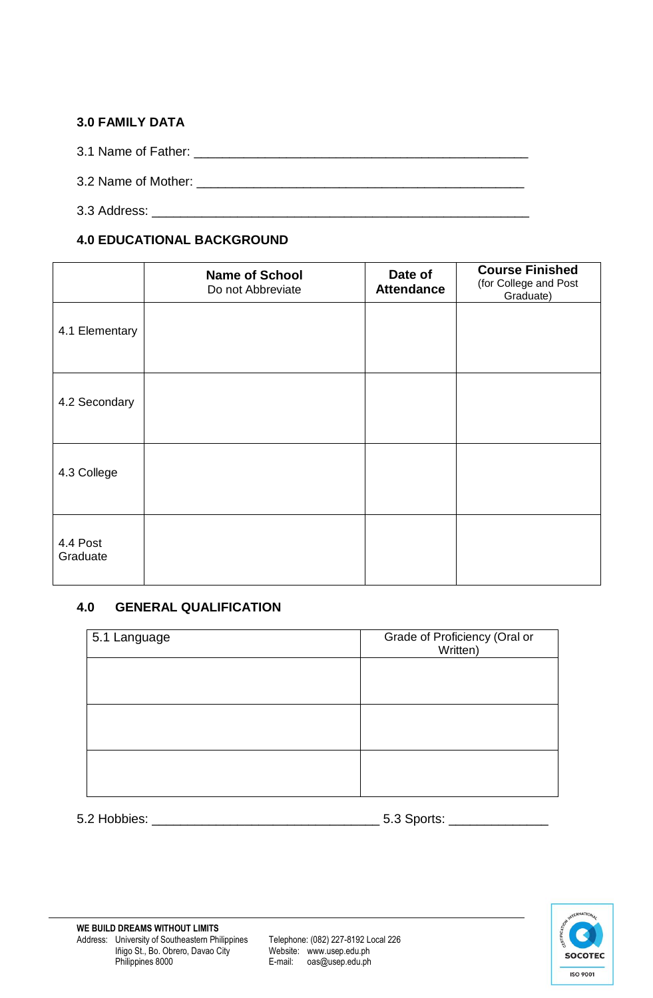#### **3.0 FAMILY DATA**

3.1 Name of Father: \_\_\_\_\_\_\_\_\_\_\_\_\_\_\_\_\_\_\_\_\_\_\_\_\_\_\_\_\_\_\_\_\_\_\_\_\_\_\_\_\_\_\_\_\_\_\_

- 3.2 Name of Mother: \_\_\_\_\_\_\_\_\_\_\_\_\_\_\_\_\_\_\_\_\_\_\_\_\_\_\_\_\_\_\_\_\_\_\_\_\_\_\_\_\_\_\_\_\_\_
- 3.3 Address: \_\_\_\_\_\_\_\_\_\_\_\_\_\_\_\_\_\_\_\_\_\_\_\_\_\_\_\_\_\_\_\_\_\_\_\_\_\_\_\_\_\_\_\_\_\_\_\_\_\_\_\_\_

### **4.0 EDUCATIONAL BACKGROUND**

|                      | <b>Name of School</b><br>Do not Abbreviate | Date of<br><b>Attendance</b> | <b>Course Finished</b><br>(for College and Post<br>Graduate) |
|----------------------|--------------------------------------------|------------------------------|--------------------------------------------------------------|
| 4.1 Elementary       |                                            |                              |                                                              |
| 4.2 Secondary        |                                            |                              |                                                              |
| 4.3 College          |                                            |                              |                                                              |
| 4.4 Post<br>Graduate |                                            |                              |                                                              |

#### **4.0 GENERAL QUALIFICATION**

| 5.1 Language | Grade of Proficiency (Oral or<br>Written) |  |
|--------------|-------------------------------------------|--|
|              |                                           |  |
|              |                                           |  |
|              |                                           |  |
|              |                                           |  |
|              |                                           |  |
|              |                                           |  |

5.2 Hobbies: \_\_\_\_\_\_\_\_\_\_\_\_\_\_\_\_\_\_\_\_\_\_\_\_\_\_\_\_\_\_\_\_ 5.3 Sports: \_\_\_\_\_\_\_\_\_\_\_\_\_\_



E-mail: oas@usep.edu.ph